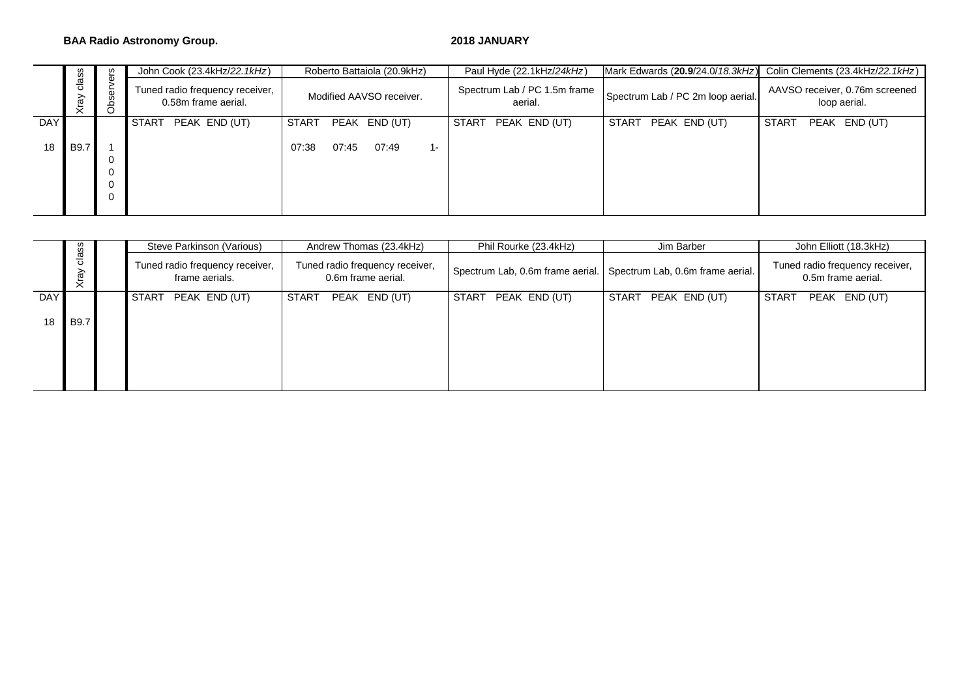### **BAA Radio Astronomy Group. 2018 JANUARY**

|     |               | ဖ္ပ<br>Ψ<br>ser<br>වී | John Cook (23.4kHz/22.1kHz)                            | Roberto Battaiola (20.9kHz)    | Paul Hyde (22.1kHz/24kHz)               |                                   | Mark Edwards (20.9/24.0/18.3kHz) Colin Clements (23.4kHz/22.1kHz) |
|-----|---------------|-----------------------|--------------------------------------------------------|--------------------------------|-----------------------------------------|-----------------------------------|-------------------------------------------------------------------|
|     | class<br>Xray |                       | Tuned radio frequency receiver,<br>0.58m frame aerial. | Modified AAVSO receiver.       | Spectrum Lab / PC 1.5m frame<br>aerial. | Spectrum Lab / PC 2m loop aerial. | AAVSO receiver, 0.76m screened<br>loop aerial.                    |
| DAY |               |                       | <b>START</b><br>PEAK END (UT)                          | START<br>PEAK END (UT)         | PEAK END (UT)<br>START                  | <b>START</b><br>PEAK END (UT)     | START<br>PEAK<br>END (UT)                                         |
| 18  | <b>B9.7</b>   |                       |                                                        | 07:45<br>07:49<br>07:38<br>1 – |                                         |                                   |                                                                   |
|     |               |                       |                                                        |                                |                                         |                                   |                                                                   |
|     |               | U<br>0                |                                                        |                                |                                         |                                   |                                                                   |
|     |               |                       |                                                        |                                |                                         |                                   |                                                                   |

|            |                              |  | Steve Parkinson (Various)                         | Andrew Thomas (23.4kHz)                               | Phil Rourke (23.4kHz)                                             | Jim Barber          | John Elliott (18.3kHz)                                |
|------------|------------------------------|--|---------------------------------------------------|-------------------------------------------------------|-------------------------------------------------------------------|---------------------|-------------------------------------------------------|
|            | class<br>$\mathfrak{F}$<br>₹ |  | Tuned radio frequency receiver,<br>frame aerials. | Tuned radio frequency receiver,<br>0.6m frame aerial. | Spectrum Lab, 0.6m frame aerial. Spectrum Lab, 0.6m frame aerial. |                     | Tuned radio frequency receiver,<br>0.5m frame aerial. |
| <b>DAY</b> |                              |  | <b>START</b><br>PEAK END (UT)                     | START<br>PEAK END (UT)                                | START<br>PEAK END (UT)                                            | START PEAK END (UT) | PEAK END (UT)<br>START                                |
| 18         | B9.7                         |  |                                                   |                                                       |                                                                   |                     |                                                       |
|            |                              |  |                                                   |                                                       |                                                                   |                     |                                                       |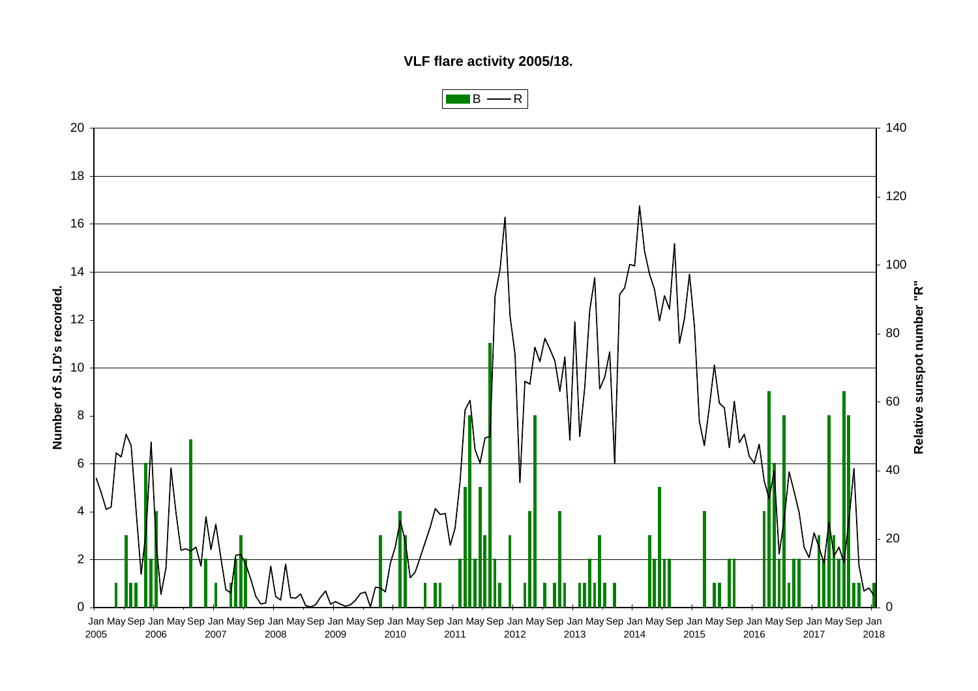**VLF flare activity 2005/18.**



 $B \longrightarrow R$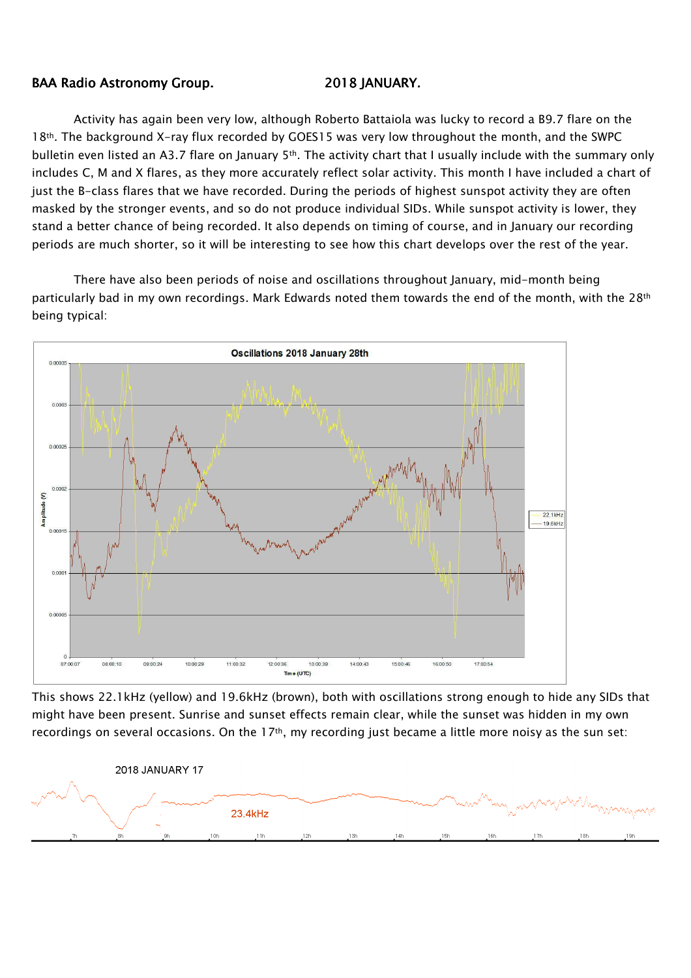## BAA Radio Astronomy Group. 2018 JANUARY.

Activity has again been very low, although Roberto Battaiola was lucky to record a B9.7 flare on the 18<sup>th</sup>. The background X-ray flux recorded by GOES15 was very low throughout the month, and the SWPC bulletin even listed an A3.7 flare on January  $5<sup>th</sup>$ . The activity chart that I usually include with the summary only includes C, M and X flares, as they more accurately reflect solar activity. This month I have included a chart of just the B-class flares that we have recorded. During the periods of highest sunspot activity they are often masked by the stronger events, and so do not produce individual SIDs. While sunspot activity is lower, they stand a better chance of being recorded. It also depends on timing of course, and in January our recording periods are much shorter, so it will be interesting to see how this chart develops over the rest of the year.

There have also been periods of noise and oscillations throughout January, mid-month being particularly bad in my own recordings. Mark Edwards noted them towards the end of the month, with the 28<sup>th</sup> being typical:



This shows 22.1kHz (yellow) and 19.6kHz (brown), both with oscillations strong enough to hide any SIDs that might have been present. Sunrise and sunset effects remain clear, while the sunset was hidden in my own recordings on several occasions. On the  $17<sup>th</sup>$ , my recording just became a little more noisy as the sun set: